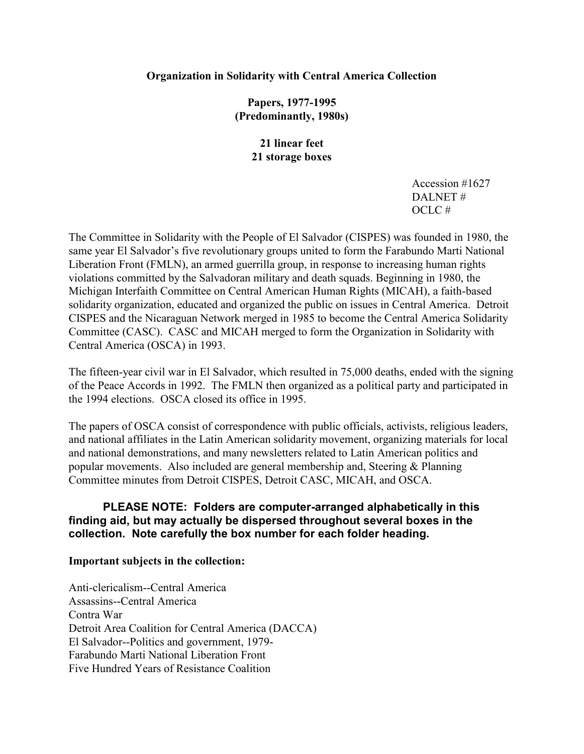### **Organization in Solidarity with Central America Collection**

**Papers, 1977-1995 (Predominantly, 1980s)**

> **21 linear feet 21 storage boxes**

> > Accession #1627 DALNET #  $OCLC \#$

The Committee in Solidarity with the People of El Salvador (CISPES) was founded in 1980, the same year El Salvador's five revolutionary groups united to form the Farabundo Marti National Liberation Front (FMLN), an armed guerrilla group, in response to increasing human rights violations committed by the Salvadoran military and death squads. Beginning in 1980, the Michigan Interfaith Committee on Central American Human Rights (MICAH), a faith-based solidarity organization, educated and organized the public on issues in Central America. Detroit CISPES and the Nicaraguan Network merged in 1985 to become the Central America Solidarity Committee (CASC). CASC and MICAH merged to form the Organization in Solidarity with Central America (OSCA) in 1993.

The fifteen-year civil war in El Salvador, which resulted in 75,000 deaths, ended with the signing of the Peace Accords in 1992. The FMLN then organized as a political party and participated in the 1994 elections. OSCA closed its office in 1995.

The papers of OSCA consist of correspondence with public officials, activists, religious leaders, and national affiliates in the Latin American solidarity movement, organizing materials for local and national demonstrations, and many newsletters related to Latin American politics and popular movements. Also included are general membership and, Steering & Planning Committee minutes from Detroit CISPES, Detroit CASC, MICAH, and OSCA.

# **PLEASE NOTE: Folders are computer-arranged alphabetically in this finding aid, but may actually be dispersed throughout several boxes in the collection. Note carefully the box number for each folder heading.**

#### **Important subjects in the collection:**

Anti-clericalism--Central America Assassins--Central America Contra War Detroit Area Coalition for Central America (DACCA) El Salvador--Politics and government, 1979- Farabundo Marti National Liberation Front Five Hundred Years of Resistance Coalition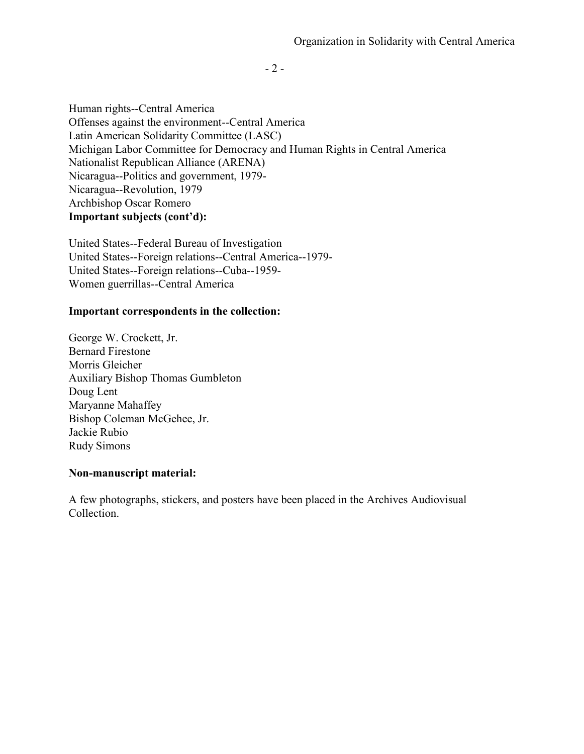- 2 -

Human rights--Central America Offenses against the environment--Central America Latin American Solidarity Committee (LASC) Michigan Labor Committee for Democracy and Human Rights in Central America Nationalist Republican Alliance (ARENA) Nicaragua--Politics and government, 1979- Nicaragua--Revolution, 1979 Archbishop Oscar Romero **Important subjects (cont'd):**

United States--Federal Bureau of Investigation United States--Foreign relations--Central America--1979- United States--Foreign relations--Cuba--1959- Women guerrillas--Central America

#### **Important correspondents in the collection:**

George W. Crockett, Jr. Bernard Firestone Morris Gleicher Auxiliary Bishop Thomas Gumbleton Doug Lent Maryanne Mahaffey Bishop Coleman McGehee, Jr. Jackie Rubio Rudy Simons

### **Non-manuscript material:**

A few photographs, stickers, and posters have been placed in the Archives Audiovisual Collection.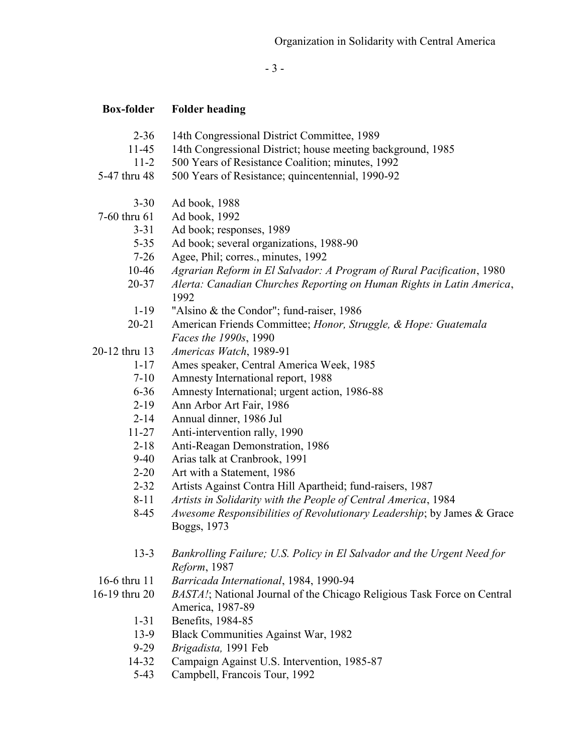- 3 -

| <b>Box-folder</b> | <b>Folder heading</b>                                                         |
|-------------------|-------------------------------------------------------------------------------|
| $2 - 36$          | 14th Congressional District Committee, 1989                                   |
| 11-45             | 14th Congressional District; house meeting background, 1985                   |
| $11 - 2$          | 500 Years of Resistance Coalition; minutes, 1992                              |
| 5-47 thru 48      | 500 Years of Resistance; quincentennial, 1990-92                              |
| $3 - 30$          | Ad book, 1988                                                                 |
| 7-60 thru 61      | Ad book, 1992                                                                 |
| $3 - 31$          | Ad book; responses, 1989                                                      |
| $5 - 35$          | Ad book; several organizations, 1988-90                                       |
| $7 - 26$          | Agee, Phil; corres., minutes, 1992                                            |
| $10 - 46$         | Agrarian Reform in El Salvador: A Program of Rural Pacification, 1980         |
| $20 - 37$         | Alerta: Canadian Churches Reporting on Human Rights in Latin America,<br>1992 |
| $1-19$            | "Alsino & the Condor"; fund-raiser, 1986                                      |
| $20 - 21$         | American Friends Committee; Honor, Struggle, & Hope: Guatemala                |
|                   | Faces the 1990s, 1990                                                         |
| 20-12 thru 13     | Americas Watch, 1989-91                                                       |
| $1 - 17$          | Ames speaker, Central America Week, 1985                                      |
| $7 - 10$          | Amnesty International report, 1988                                            |
| $6 - 36$          | Amnesty International; urgent action, 1986-88                                 |
| $2 - 19$          | Ann Arbor Art Fair, 1986                                                      |
| $2 - 14$          | Annual dinner, 1986 Jul                                                       |
| $11 - 27$         | Anti-intervention rally, 1990                                                 |
| $2 - 18$          | Anti-Reagan Demonstration, 1986                                               |
| $9-40$            | Arias talk at Cranbrook, 1991                                                 |
| $2 - 20$          | Art with a Statement, 1986                                                    |
| $2 - 32$          | Artists Against Contra Hill Apartheid; fund-raisers, 1987                     |
| $8 - 11$          | Artists in Solidarity with the People of Central America, 1984                |
| $8-45$            | Awesome Responsibilities of Revolutionary Leadership; by James & Grace        |
|                   | Boggs, 1973                                                                   |
| $13-3$            | Bankrolling Failure; U.S. Policy in El Salvador and the Urgent Need for       |
|                   | Reform, 1987                                                                  |
| 16-6 thru 11      | Barricada International, 1984, 1990-94                                        |
| 16-19 thru 20     | BASTA!; National Journal of the Chicago Religious Task Force on Central       |
|                   | America, 1987-89                                                              |
| $1 - 31$          | Benefits, 1984-85                                                             |
| 13-9              | Black Communities Against War, 1982                                           |
| $9 - 29$          | Brigadista, 1991 Feb                                                          |
| 14-32             | Campaign Against U.S. Intervention, 1985-87                                   |
| $5-43$            | Campbell, Francois Tour, 1992                                                 |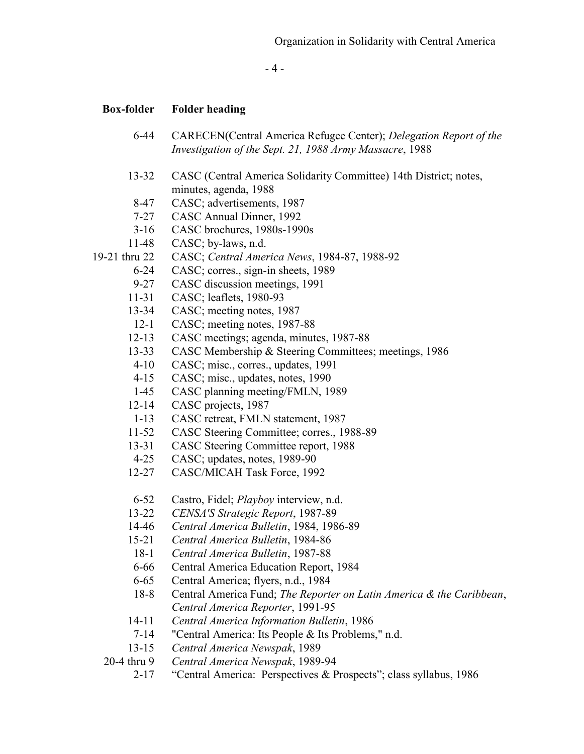- 4 -

- 6-44 CARECEN(Central America Refugee Center); *Delegation Report of the Investigation of the Sept. 21, 1988 Army Massacre*, 1988
- 13-32 CASC (Central America Solidarity Committee) 14th District; notes, minutes, agenda, 1988
- 8-47 CASC; advertisements, 1987
- 7-27 CASC Annual Dinner, 1992
- 3-16 CASC brochures, 1980s-1990s
- 11-48 CASC; by-laws, n.d.
- 19-21 thru 22 CASC; *Central America News*, 1984-87, 1988-92
	- 6-24 CASC; corres., sign-in sheets, 1989
	- 9-27 CASC discussion meetings, 1991
	- 11-31 CASC; leaflets, 1980-93
	- 13-34 CASC; meeting notes, 1987
	- 12-1 CASC; meeting notes, 1987-88
	- 12-13 CASC meetings; agenda, minutes, 1987-88
	- 13-33 CASC Membership & Steering Committees; meetings, 1986
	- 4-10 CASC; misc., corres., updates, 1991
	- 4-15 CASC; misc., updates, notes, 1990
	- 1-45 CASC planning meeting/FMLN, 1989
	- 12-14 CASC projects, 1987
	- 1-13 CASC retreat, FMLN statement, 1987
	- 11-52 CASC Steering Committee; corres., 1988-89<br>13-31 CASC Steering Committee report, 1988
	- 13-31 CASC Steering Committee report, 1988
	- 4-25 CASC; updates, notes, 1989-90
	- 12-27 CASC/MICAH Task Force, 1992
	- 6-52 Castro, Fidel; *Playboy* interview, n.d.
	- 13-22 *CENSA'S Strategic Report*, 1987-89
	- 14-46 *Central America Bulletin*, 1984, 1986-89
	- 15-21 *Central America Bulletin*, 1984-86
	- 18-1 *Central America Bulletin*, 1987-88
	- 6-66 Central America Education Report, 1984
	- 6-65 Central America; flyers, n.d., 1984
	- 18-8 Central America Fund; *The Reporter on Latin America & the Caribbean*, *Central America Reporter*, 1991-95
	- 14-11 *Central America Information Bulletin*, 1986
	- 7-14 "Central America: Its People & Its Problems," n.d.
	- 13-15 *Central America Newspak*, 1989
	- 20-4 thru 9 *Central America Newspak*, 1989-94
		- 2-17 "Central America: Perspectives & Prospects"; class syllabus, 1986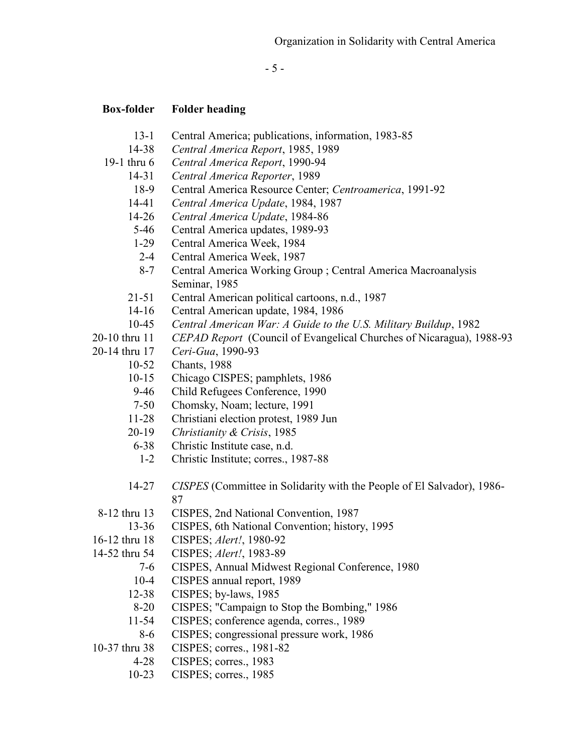- 5 -

- 13-1 Central America; publications, information, 1983-85
- 14-38 *Central America Report*, 1985, 1989
- 19-1 thru 6 *Central America Report*, 1990-94
	- 14-31 *Central America Reporter*, 1989
		- 18-9 Central America Resource Center; *Centroamerica*, 1991-92
	- 14-41 *Central America Update*, 1984, 1987
	- 14-26 *Central America Update*, 1984-86
	- 5-46 Central America updates, 1989-93
	- 1-29 Central America Week, 1984
	- 2-4 Central America Week, 1987
	- 8-7 Central America Working Group ; Central America Macroanalysis Seminar, 1985
	- 21-51 Central American political cartoons, n.d., 1987
	- 14-16 Central American update, 1984, 1986
	- 10-45 *Central American War: A Guide to the U.S. Military Buildup*, 1982
- 20-10 thru 11 *CEPAD Report* (Council of Evangelical Churches of Nicaragua), 1988-93
- 20-14 thru 17 *Ceri-Gua*, 1990-93
	- 10-52 Chants, 1988
	- 10-15 Chicago CISPES; pamphlets, 1986
	- 9-46 Child Refugees Conference, 1990
	- 7-50 Chomsky, Noam; lecture, 1991
	- 11-28 Christiani election protest, 1989 Jun
	- 20-19 *Christianity & Crisis*, 1985
	- 6-38 Christic Institute case, n.d.
	- 1-2 Christic Institute; corres., 1987-88
	- 14-27 *CISPES* (Committee in Solidarity with the People of El Salvador), 1986- 87
- 8-12 thru 13 CISPES, 2nd National Convention, 1987
	- 13-36 CISPES, 6th National Convention; history, 1995
- 16-12 thru 18 CISPES; *Alert!*, 1980-92
- 14-52 thru 54 CISPES; *Alert!*, 1983-89
	- 7-6 CISPES, Annual Midwest Regional Conference, 1980
	- 10-4 CISPES annual report, 1989
	- 12-38 CISPES; by-laws, 1985
	- 8-20 CISPES; "Campaign to Stop the Bombing," 1986
	- 11-54 CISPES; conference agenda, corres., 1989
	- 8-6 CISPES; congressional pressure work, 1986
- 10-37 thru 38 CISPES; corres., 1981-82
	- 4-28 CISPES; corres., 1983
	- 10-23 CISPES; corres., 1985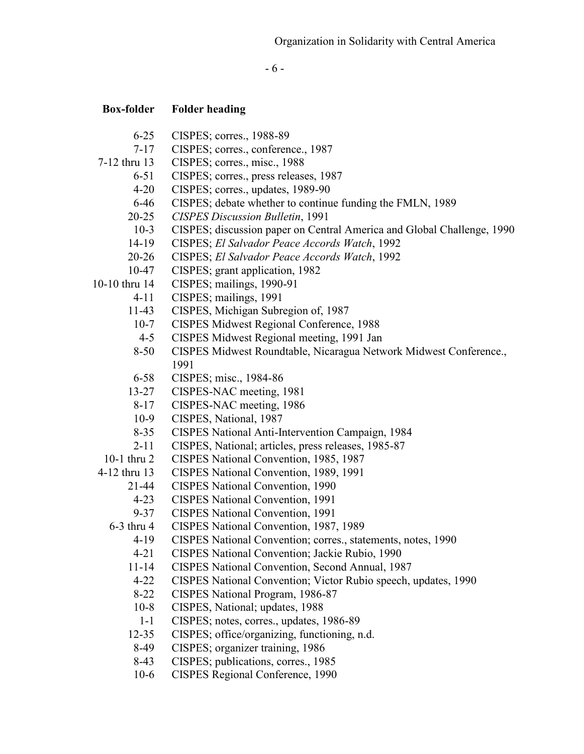- 6 -

- 6-25 CISPES; corres., 1988-89
- 7-17 CISPES; corres., conference., 1987
- 7-12 thru 13 CISPES; corres., misc., 1988
	- 6-51 CISPES; corres., press releases, 1987
	- 4-20 CISPES; corres., updates, 1989-90
	- 6-46 CISPES; debate whether to continue funding the FMLN, 1989
	- 20-25 *CISPES Discussion Bulletin*, 1991
	- 10-3 CISPES; discussion paper on Central America and Global Challenge, 1990
	- 14-19 CISPES; *El Salvador Peace Accords Watch*, 1992
	- 20-26 CISPES; *El Salvador Peace Accords Watch*, 1992
	- 10-47 CISPES; grant application, 1982
- 10-10 thru 14 CISPES; mailings, 1990-91
	- 4-11 CISPES; mailings, 1991
	- 11-43 CISPES, Michigan Subregion of, 1987
	- 10-7 CISPES Midwest Regional Conference, 1988
	- 4-5 CISPES Midwest Regional meeting, 1991 Jan
	- 8-50 CISPES Midwest Roundtable, Nicaragua Network Midwest Conference., 1991
	- 6-58 CISPES; misc., 1984-86
	- 13-27 CISPES-NAC meeting, 1981
	- 8-17 CISPES-NAC meeting, 1986
	- 10-9 CISPES, National, 1987
	- 8-35 CISPES National Anti-Intervention Campaign, 1984
	- 2-11 CISPES, National; articles, press releases, 1985-87
- 10-1 thru 2 CISPES National Convention, 1985, 1987
- 4-12 thru 13 CISPES National Convention, 1989, 1991
	- 21-44 CISPES National Convention, 1990
	- 4-23 CISPES National Convention, 1991
	- 9-37 CISPES National Convention, 1991
	- 6-3 thru 4 CISPES National Convention, 1987, 1989
		- 4-19 CISPES National Convention; corres., statements, notes, 1990
		- 4-21 CISPES National Convention; Jackie Rubio, 1990
		- 11-14 CISPES National Convention, Second Annual, 1987
		- 4-22 CISPES National Convention; Victor Rubio speech, updates, 1990
		- 8-22 CISPES National Program, 1986-87
		- 10-8 CISPES, National; updates, 1988
		- 1-1 CISPES; notes, corres., updates, 1986-89
		- 12-35 CISPES; office/organizing, functioning, n.d.
		- 8-49 CISPES; organizer training, 1986
		- 8-43 CISPES; publications, corres., 1985
		- 10-6 CISPES Regional Conference, 1990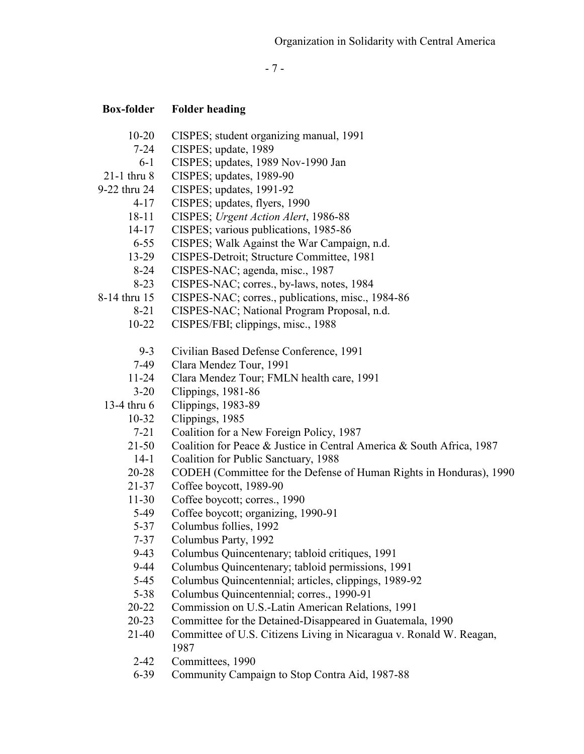- 7 -

- 10-20 CISPES; student organizing manual, 1991
- 7-24 CISPES; update, 1989
- 6-1 CISPES; updates, 1989 Nov-1990 Jan
- 21-1 thru 8 CISPES; updates, 1989-90
- 9-22 thru 24 CISPES; updates, 1991-92
	- 4-17 CISPES; updates, flyers, 1990
	- 18-11 CISPES; *Urgent Action Alert*, 1986-88
	- 14-17 CISPES; various publications, 1985-86
	- 6-55 CISPES; Walk Against the War Campaign, n.d.
	- 13-29 CISPES-Detroit; Structure Committee, 1981
	- 8-24 CISPES-NAC; agenda, misc., 1987
	- 8-23 CISPES-NAC; corres., by-laws, notes, 1984
- 8-14 thru 15 CISPES-NAC; corres., publications, misc., 1984-86
	- 8-21 CISPES-NAC; National Program Proposal, n.d.
		- 10-22 CISPES/FBI; clippings, misc., 1988
			- 9-3 Civilian Based Defense Conference, 1991
		- 7-49 Clara Mendez Tour, 1991
		- 11-24 Clara Mendez Tour; FMLN health care, 1991
	- 3-20 Clippings, 1981-86
	- 13-4 thru 6 Clippings, 1983-89
		- 10-32 Clippings, 1985
			- 7-21 Coalition for a New Foreign Policy, 1987
		- 21-50 Coalition for Peace & Justice in Central America & South Africa, 1987
		- 14-1 Coalition for Public Sanctuary, 1988
		- 20-28 CODEH (Committee for the Defense of Human Rights in Honduras), 1990
		- 21-37 Coffee boycott, 1989-90
		- 11-30 Coffee boycott; corres., 1990
		- 5-49 Coffee boycott; organizing, 1990-91
		- 5-37 Columbus follies, 1992
		- 7-37 Columbus Party, 1992
		- 9-43 Columbus Quincentenary; tabloid critiques, 1991
		- 9-44 Columbus Quincentenary; tabloid permissions, 1991
		- 5-45 Columbus Quincentennial; articles, clippings, 1989-92
		- 5-38 Columbus Quincentennial; corres., 1990-91
		- 20-22 Commission on U.S.-Latin American Relations, 1991
		- 20-23 Committee for the Detained-Disappeared in Guatemala, 1990
		- 21-40 Committee of U.S. Citizens Living in Nicaragua v. Ronald W. Reagan, 1987
		- 2-42 Committees, 1990
		- 6-39 Community Campaign to Stop Contra Aid, 1987-88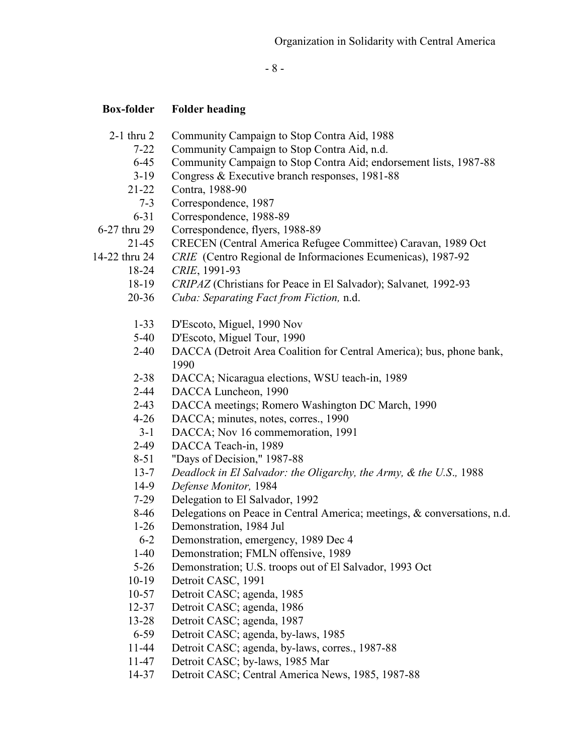- 8 -

- 2-1 thru 2 Community Campaign to Stop Contra Aid, 1988
	- 7-22 Community Campaign to Stop Contra Aid, n.d.
	- 6-45 Community Campaign to Stop Contra Aid; endorsement lists, 1987-88
	- 3-19 Congress & Executive branch responses, 1981-88
	- 21-22 Contra, 1988-90
	- 7-3 Correspondence, 1987
	- 6-31 Correspondence, 1988-89
- 6-27 thru 29 Correspondence, flyers, 1988-89
	- 21-45 CRECEN (Central America Refugee Committee) Caravan, 1989 Oct
- 14-22 thru 24 *CRIE* (Centro Regional de Informaciones Ecumenicas), 1987-92
	- 18-24 *CRIE*, 1991-93
	- 18-19 *CRIPAZ* (Christians for Peace in El Salvador); Salvanet*,* 1992-93
	- 20-36 *Cuba: Separating Fact from Fiction,* n.d.
	- 1-33 D'Escoto, Miguel, 1990 Nov
	- 5-40 D'Escoto, Miguel Tour, 1990
	- 2-40 DACCA (Detroit Area Coalition for Central America); bus, phone bank, 1990
	- 2-38 DACCA; Nicaragua elections, WSU teach-in, 1989
	- 2-44 DACCA Luncheon, 1990
	- 2-43 DACCA meetings; Romero Washington DC March, 1990
	- 4-26 DACCA; minutes, notes, corres., 1990
	- 3-1 DACCA; Nov 16 commemoration, 1991
	- 2-49 DACCA Teach-in, 1989
	- 8-51 "Days of Decision," 1987-88
	- 13-7 *Deadlock in El Salvador: the Oligarchy, the Army, & the U.S*.*,* 1988
	- 14-9 *Defense Monitor,* 1984
	- 7-29 Delegation to El Salvador, 1992
	- 8-46 Delegations on Peace in Central America; meetings, & conversations, n.d.
	- 1-26 Demonstration, 1984 Jul
	- 6-2 Demonstration, emergency, 1989 Dec 4
	- 1-40 Demonstration; FMLN offensive, 1989
	- 5-26 Demonstration; U.S. troops out of El Salvador, 1993 Oct
	- 10-19 Detroit CASC, 1991
	- 10-57 Detroit CASC; agenda, 1985
	- 12-37 Detroit CASC; agenda, 1986
	- 13-28 Detroit CASC; agenda, 1987
	- 6-59 Detroit CASC; agenda, by-laws, 1985
	- 11-44 Detroit CASC; agenda, by-laws, corres., 1987-88
	- 11-47 Detroit CASC; by-laws, 1985 Mar
	- 14-37 Detroit CASC; Central America News, 1985, 1987-88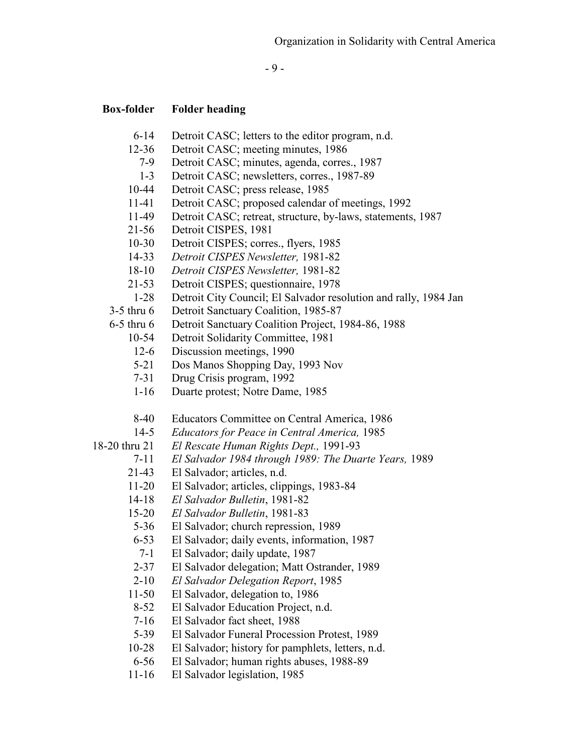- 9 -

### **Box-folder Folder heading**

- 6-14 Detroit CASC; letters to the editor program, n.d.
- 12-36 Detroit CASC; meeting minutes, 1986
	- 7-9 Detroit CASC; minutes, agenda, corres., 1987
	- 1-3 Detroit CASC; newsletters, corres., 1987-89
- 10-44 Detroit CASC; press release, 1985
- 11-41 Detroit CASC; proposed calendar of meetings, 1992
- 11-49 Detroit CASC; retreat, structure, by-laws, statements, 1987
- 21-56 Detroit CISPES, 1981
- 10-30 Detroit CISPES; corres., flyers, 1985
- 14-33 *Detroit CISPES Newsletter,* 1981-82
- 18-10 *Detroit CISPES Newsletter,* 1981-82
- 21-53 Detroit CISPES; questionnaire, 1978
- 1-28 Detroit City Council; El Salvador resolution and rally, 1984 Jan

3-5 thru 6 Detroit Sanctuary Coalition, 1985-87

- 6-5 thru 6 Detroit Sanctuary Coalition Project, 1984-86, 1988
	- 10-54 Detroit Solidarity Committee, 1981
	- 12-6 Discussion meetings, 1990
	- 5-21 Dos Manos Shopping Day, 1993 Nov
	- 7-31 Drug Crisis program, 1992
	- 1-16 Duarte protest; Notre Dame, 1985
	- 8-40 Educators Committee on Central America, 1986
	- 14-5 *Educators for Peace in Central America,* 1985

18-20 thru 21 *El Rescate Human Rights Dept.,* 1991-93

- 7-11 *El Salvador 1984 through 1989: The Duarte Years,* 1989
- 21-43 El Salvador; articles, n.d.
- 11-20 El Salvador; articles, clippings, 1983-84
- 14-18 *El Salvador Bulletin*, 1981-82
- 15-20 *El Salvador Bulletin*, 1981-83
- 5-36 El Salvador; church repression, 1989
- 6-53 El Salvador; daily events, information, 1987
- 7-1 El Salvador; daily update, 1987
- 2-37 El Salvador delegation; Matt Ostrander, 1989
- 2-10 *El Salvador Delegation Report*, 1985
- 11-50 El Salvador, delegation to, 1986
- 8-52 El Salvador Education Project, n.d.
- 7-16 El Salvador fact sheet, 1988
- 5-39 El Salvador Funeral Procession Protest, 1989
- 10-28 El Salvador; history for pamphlets, letters, n.d.
- 6-56 El Salvador; human rights abuses, 1988-89
- 11-16 El Salvador legislation, 1985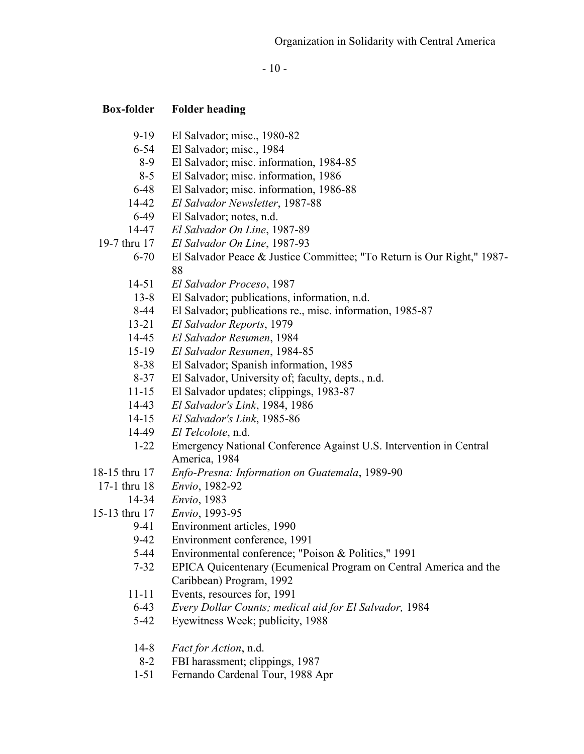$-10-$ 

### **Box-folder Folder heading**

- 9-19 El Salvador; misc., 1980-82
- 6-54 El Salvador; misc., 1984
- 8-9 El Salvador; misc. information, 1984-85
- 8-5 El Salvador; misc. information, 1986
- 6-48 El Salvador; misc. information, 1986-88
- 14-42 *El Salvador Newsletter*, 1987-88
- 6-49 El Salvador; notes, n.d.
- 14-47 *El Salvador On Line*, 1987-89

19-7 thru 17 *El Salvador On Line*, 1987-93

- 6-70 El Salvador Peace & Justice Committee; "To Return is Our Right," 1987- 88
- 14-51 *El Salvador Proceso*, 1987
- 13-8 El Salvador; publications, information, n.d.
- 8-44 El Salvador; publications re., misc. information, 1985-87
- 13-21 *El Salvador Reports*, 1979
- 14-45 *El Salvador Resumen*, 1984
- 15-19 *El Salvador Resumen*, 1984-85
- 8-38 El Salvador; Spanish information, 1985
- 8-37 El Salvador, University of; faculty, depts., n.d.
- 11-15 El Salvador updates; clippings, 1983-87
- 14-43 *El Salvador's Link*, 1984, 1986
- 14-15 *El Salvador's Link*, 1985-86
- 14-49 *El Telcolote*, n.d.
- 1-22 Emergency National Conference Against U.S. Intervention in Central America, 1984
- 18-15 thru 17 *Enfo-Presna: Information on Guatemala*, 1989-90
	- 17-1 thru 18 *Envio*, 1982-92
	- 14-34 *Envio*, 1983
- 15-13 thru 17 *Envio*, 1993-95
	- 9-41 Environment articles, 1990
	- 9-42 Environment conference, 1991
	- 5-44 Environmental conference; "Poison & Politics," 1991
	- 7-32 EPICA Quicentenary (Ecumenical Program on Central America and the Caribbean) Program, 1992
	- 11-11 Events, resources for, 1991
	- 6-43 *Every Dollar Counts; medical aid for El Salvador,* 1984
	- 5-42 Eyewitness Week; publicity, 1988
	- 14-8 *Fact for Action*, n.d.
	- 8-2 FBI harassment; clippings, 1987
	- 1-51 Fernando Cardenal Tour, 1988 Apr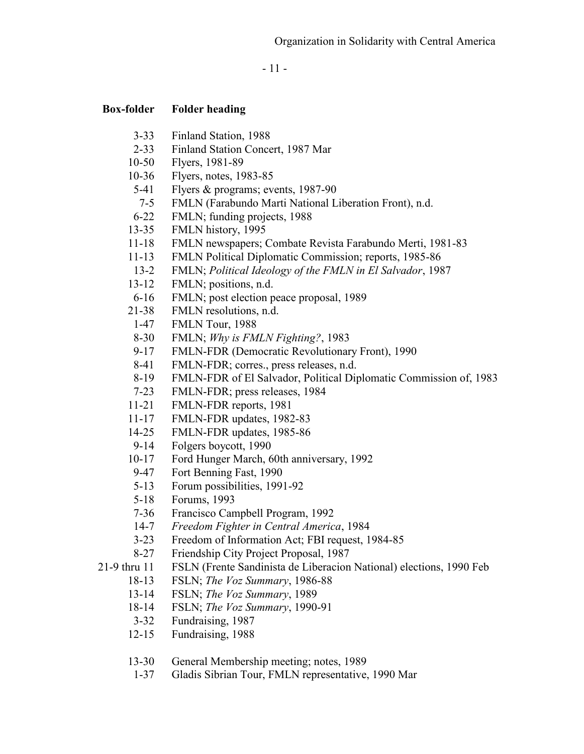- 11 -

### **Box-folder Folder heading**

- 3-33 Finland Station, 1988
- 2-33 Finland Station Concert, 1987 Mar
- 10-50 Flyers, 1981-89
- 10-36 Flyers, notes, 1983-85
- 5-41 Flyers & programs; events, 1987-90
- 7-5 FMLN (Farabundo Marti National Liberation Front), n.d.
- 6-22 FMLN; funding projects, 1988
- 13-35 FMLN history, 1995
- 11-18 FMLN newspapers; Combate Revista Farabundo Merti, 1981-83
- 11-13 FMLN Political Diplomatic Commission; reports, 1985-86
- 13-2 FMLN; *Political Ideology of the FMLN in El Salvador*, 1987
- 13-12 FMLN; positions, n.d.
- 6-16 FMLN; post election peace proposal, 1989
- 21-38 FMLN resolutions, n.d.
- 1-47 FMLN Tour, 1988
- 8-30 FMLN; *Why is FMLN Fighting?*, 1983
- 9-17 FMLN-FDR (Democratic Revolutionary Front), 1990
- 8-41 FMLN-FDR; corres., press releases, n.d.
- 8-19 FMLN-FDR of El Salvador, Political Diplomatic Commission of, 1983
- 7-23 FMLN-FDR; press releases, 1984
- 11-21 FMLN-FDR reports, 1981
- 11-17 FMLN-FDR updates, 1982-83
- 14-25 FMLN-FDR updates, 1985-86
- 9-14 Folgers boycott, 1990
- 10-17 Ford Hunger March, 60th anniversary, 1992
- 9-47 Fort Benning Fast, 1990
- 5-13 Forum possibilities, 1991-92
- 5-18 Forums, 1993
- 7-36 Francisco Campbell Program, 1992
- 14-7 *Freedom Fighter in Central America*, 1984
- 3-23 Freedom of Information Act; FBI request, 1984-85
- 8-27 Friendship City Project Proposal, 1987

21-9 thru 11 FSLN (Frente Sandinista de Liberacion National) elections, 1990 Feb

- 18-13 FSLN; *The Voz Summary*, 1986-88
- 13-14 FSLN; *The Voz Summary*, 1989
- 18-14 FSLN; *The Voz Summary*, 1990-91
- 3-32 Fundraising, 1987
- 12-15 Fundraising, 1988
- 13-30 General Membership meeting; notes, 1989
- 1-37 Gladis Sibrian Tour, FMLN representative, 1990 Mar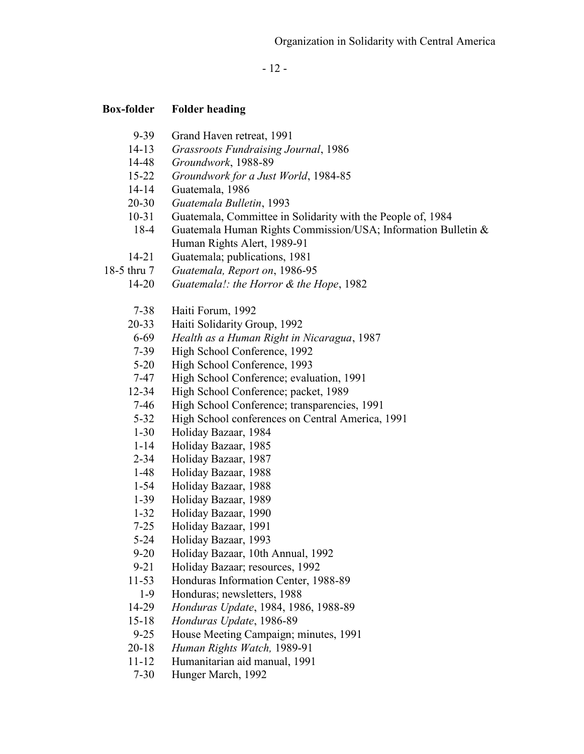- 12 -

- 9-39 Grand Haven retreat, 1991
- 14-13 *Grassroots Fundraising Journal*, 1986
- 14-48 *Groundwork*, 1988-89
- 15-22 *Groundwork for a Just World*, 1984-85
- 14-14 Guatemala, 1986
- 20-30 *Guatemala Bulletin*, 1993
- 10-31 Guatemala, Committee in Solidarity with the People of, 1984
- 18-4 Guatemala Human Rights Commission/USA; Information Bulletin & Human Rights Alert, 1989-91
- 14-21 Guatemala; publications, 1981
- 18-5 thru 7 *Guatemala, Report on*, 1986-95
	- 14-20 *Guatemala!: the Horror & the Hope*, 1982
		- 7-38 Haiti Forum, 1992
	- 20-33 Haiti Solidarity Group, 1992
	- 6-69 *Health as a Human Right in Nicaragua*, 1987
	- 7-39 High School Conference, 1992
	- 5-20 High School Conference, 1993
	- 7-47 High School Conference; evaluation, 1991
	- 12-34 High School Conference; packet, 1989
	- 7-46 High School Conference; transparencies, 1991
	- 5-32 High School conferences on Central America, 1991
	- 1-30 Holiday Bazaar, 1984
	- 1-14 Holiday Bazaar, 1985
	- 2-34 Holiday Bazaar, 1987
	- 1-48 Holiday Bazaar, 1988
	- 1-54 Holiday Bazaar, 1988
	- 1-39 Holiday Bazaar, 1989
	- 1-32 Holiday Bazaar, 1990
	- 7-25 Holiday Bazaar, 1991
	- 5-24 Holiday Bazaar, 1993
	- 9-20 Holiday Bazaar, 10th Annual, 1992
	- 9-21 Holiday Bazaar; resources, 1992
	- 11-53 Honduras Information Center, 1988-89
	- 1-9 Honduras; newsletters, 1988
	- 14-29 *Honduras Update*, 1984, 1986, 1988-89
	- 15-18 *Honduras Update*, 1986-89
	- 9-25 House Meeting Campaign; minutes, 1991
	- 20-18 *Human Rights Watch,* 1989-91
	- 11-12 Humanitarian aid manual, 1991
	- 7-30 Hunger March, 1992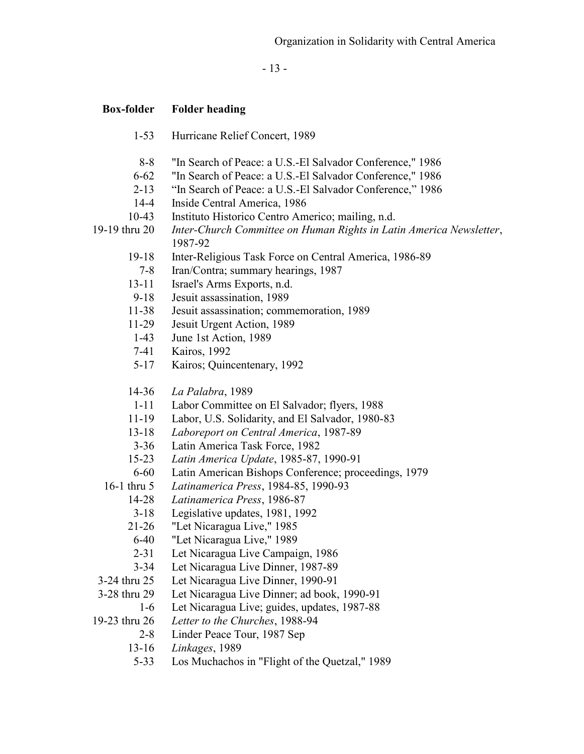- 13 -

#### **Box-folder Folder heading**

| $1-53$ | Hurricane Relief Concert, 1989 |
|--------|--------------------------------|
|--------|--------------------------------|

- 8-8 "In Search of Peace: a U.S.-El Salvador Conference," 1986
- 6-62 "In Search of Peace: a U.S.-El Salvador Conference," 1986
- 2-13 "In Search of Peace: a U.S.-El Salvador Conference," 1986
- 14-4 Inside Central America, 1986
- 10-43 Instituto Historico Centro Americo; mailing, n.d.

19-19 thru 20 *Inter-Church Committee on Human Rights in Latin America Newsletter*, 1987-92

- 19-18 Inter-Religious Task Force on Central America, 1986-89
- 7-8 Iran/Contra; summary hearings, 1987
- 13-11 Israel's Arms Exports, n.d.<br>9-18 Jesuit assassination. 1989
- Jesuit assassination, 1989
- 11-38 Jesuit assassination; commemoration, 1989
- 11-29 Jesuit Urgent Action, 1989
- 1-43 June 1st Action, 1989
- 7-41 Kairos, 1992
- 5-17 Kairos; Quincentenary, 1992
- 14-36 *La Palabra*, 1989
- 1-11 Labor Committee on El Salvador; flyers, 1988
- 11-19 Labor, U.S. Solidarity, and El Salvador, 1980-83
- 13-18 *Laboreport on Central America*, 1987-89
- 3-36 Latin America Task Force, 1982
- 15-23 *Latin America Update*, 1985-87, 1990-91
- 6-60 Latin American Bishops Conference; proceedings, 1979
- 16-1 thru 5 *Latinamerica Press*, 1984-85, 1990-93
	- 14-28 *Latinamerica Press*, 1986-87
		- 3-18 Legislative updates, 1981, 1992
		- 21-26 "Let Nicaragua Live," 1985
		- 6-40 "Let Nicaragua Live," 1989
		- 2-31 Let Nicaragua Live Campaign, 1986
	- 3-34 Let Nicaragua Live Dinner, 1987-89
- 3-24 thru 25 Let Nicaragua Live Dinner, 1990-91
- 3-28 thru 29 Let Nicaragua Live Dinner; ad book, 1990-91
	- 1-6 Let Nicaragua Live; guides, updates, 1987-88
- 19-23 thru 26 *Letter to the Churches*, 1988-94
	- 2-8 Linder Peace Tour, 1987 Sep
	- 13-16 *Linkages*, 1989
	- 5-33 Los Muchachos in "Flight of the Quetzal," 1989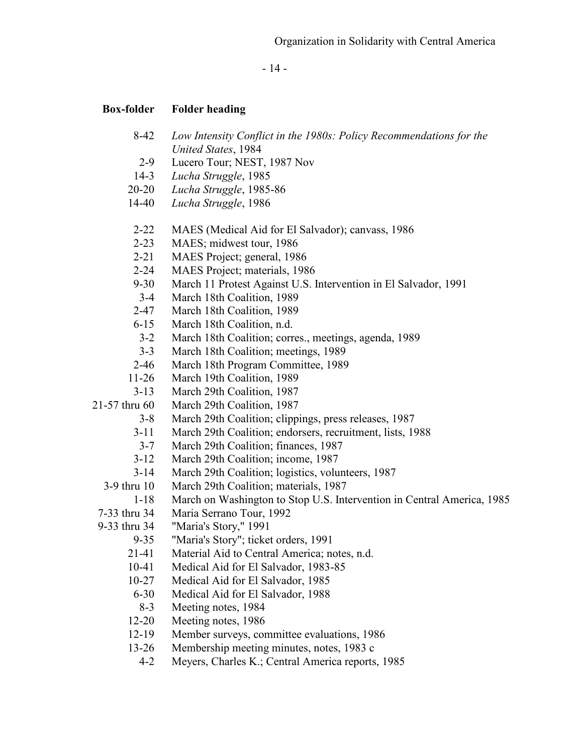- 14 -

- 8-42 *Low Intensity Conflict in the 1980s: Policy Recommendations for the United States*, 1984
- 2-9 Lucero Tour; NEST, 1987 Nov
- 14-3 *Lucha Struggle*, 1985
- 20-20 *Lucha Struggle*, 1985-86
- 14-40 *Lucha Struggle*, 1986
- 2-22 MAES (Medical Aid for El Salvador); canvass, 1986
- 2-23 MAES; midwest tour, 1986
- 2-21 MAES Project; general, 1986
- 2-24 MAES Project; materials, 1986
- 9-30 March 11 Protest Against U.S. Intervention in El Salvador, 1991
- 3-4 March 18th Coalition, 1989
- 2-47 March 18th Coalition, 1989
- 6-15 March 18th Coalition, n.d.
- 3-2 March 18th Coalition; corres., meetings, agenda, 1989
- 3-3 March 18th Coalition; meetings, 1989
- 2-46 March 18th Program Committee, 1989
- 11-26 March 19th Coalition, 1989
- 3-13 March 29th Coalition, 1987
- 21-57 thru 60 March 29th Coalition, 1987
	- 3-8 March 29th Coalition; clippings, press releases, 1987
	- 3-11 March 29th Coalition; endorsers, recruitment, lists, 1988
	- 3-7 March 29th Coalition; finances, 1987
	- 3-12 March 29th Coalition; income, 1987
	- 3-14 March 29th Coalition; logistics, volunteers, 1987
	- 3-9 thru 10 March 29th Coalition; materials, 1987
	- 1-18 March on Washington to Stop U.S. Intervention in Central America, 1985
	- 7-33 thru 34 Maria Serrano Tour, 1992
- 9-33 thru 34 "Maria's Story," 1991
	- 9-35 "Maria's Story"; ticket orders, 1991
	- 21-41 Material Aid to Central America; notes, n.d.
	- 10-41 Medical Aid for El Salvador, 1983-85
	- 10-27 Medical Aid for El Salvador, 1985
	- 6-30 Medical Aid for El Salvador, 1988
	- 8-3 Meeting notes, 1984
	- 12-20 Meeting notes, 1986
	- 12-19 Member surveys, committee evaluations, 1986
	- 13-26 Membership meeting minutes, notes, 1983 c
		- 4-2 Meyers, Charles K.; Central America reports, 1985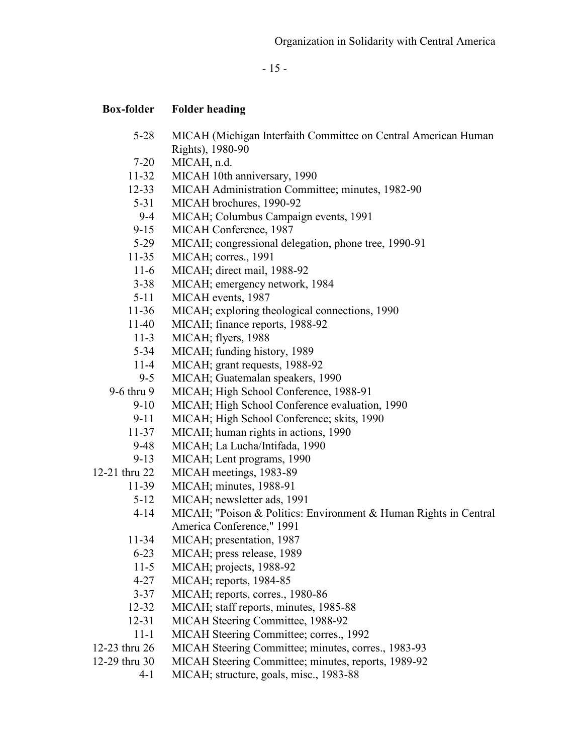- 15 -

- 5-28 MICAH (Michigan Interfaith Committee on Central American Human Rights), 1980-90
- 7-20 MICAH, n.d.
- 11-32 MICAH 10th anniversary, 1990
- 12-33 MICAH Administration Committee; minutes, 1982-90
- 5-31 MICAH brochures, 1990-92
- 9-4 MICAH; Columbus Campaign events, 1991
- 9-15 MICAH Conference, 1987
- 5-29 MICAH; congressional delegation, phone tree, 1990-91
- 11-35 MICAH; corres., 1991
- 11-6 MICAH; direct mail, 1988-92
- 3-38 MICAH; emergency network, 1984
- 5-11 MICAH events, 1987
- 11-36 MICAH; exploring theological connections, 1990
- 11-40 MICAH; finance reports, 1988-92
- 11-3 MICAH; flyers, 1988
- 5-34 MICAH; funding history, 1989
- 11-4 MICAH; grant requests, 1988-92
- 9-5 MICAH; Guatemalan speakers, 1990
- 9-6 thru 9 MICAH; High School Conference, 1988-91
	- 9-10 MICAH; High School Conference evaluation, 1990
		- 9-11 MICAH; High School Conference; skits, 1990
	- 11-37 MICAH; human rights in actions, 1990
	- 9-48 MICAH; La Lucha/Intifada, 1990
	- 9-13 MICAH; Lent programs, 1990
- 12-21 thru 22 MICAH meetings, 1983-89
	- 11-39 MICAH; minutes, 1988-91
		- 5-12 MICAH; newsletter ads, 1991
		- 4-14 MICAH; "Poison & Politics: Environment & Human Rights in Central America Conference," 1991
		- 11-34 MICAH; presentation, 1987
		- 6-23 MICAH; press release, 1989
		- 11-5 MICAH; projects, 1988-92
		- 4-27 MICAH; reports, 1984-85
		- 3-37 MICAH; reports, corres., 1980-86
	- 12-32 MICAH; staff reports, minutes, 1985-88
	- 12-31 MICAH Steering Committee, 1988-92
	- 11-1 MICAH Steering Committee; corres., 1992
- 12-23 thru 26 MICAH Steering Committee; minutes, corres., 1983-93
- 12-29 thru 30 MICAH Steering Committee; minutes, reports, 1989-92
	- 4-1 MICAH; structure, goals, misc., 1983-88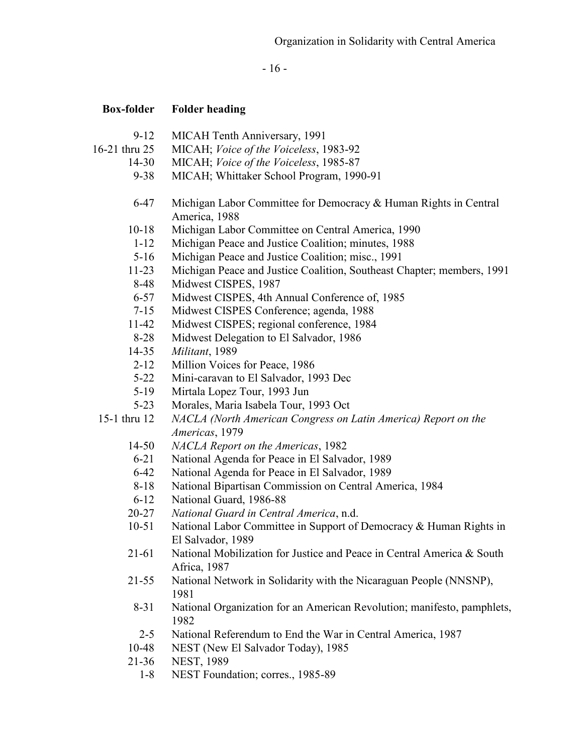- 16 -

- 9-12 MICAH Tenth Anniversary, 1991
- 16-21 thru 25 MICAH; *Voice of the Voiceless*, 1983-92
	- 14-30 MICAH; *Voice of the Voiceless*, 1985-87
	- 9-38 MICAH; Whittaker School Program, 1990-91
	- 6-47 Michigan Labor Committee for Democracy & Human Rights in Central America, 1988
	- 10-18 Michigan Labor Committee on Central America, 1990
	- 1-12 Michigan Peace and Justice Coalition; minutes, 1988
	- 5-16 Michigan Peace and Justice Coalition; misc., 1991
	- 11-23 Michigan Peace and Justice Coalition, Southeast Chapter; members, 1991
	- 8-48 Midwest CISPES, 1987
	- 6-57 Midwest CISPES, 4th Annual Conference of, 1985
	- 7-15 Midwest CISPES Conference; agenda, 1988
	- 11-42 Midwest CISPES; regional conference, 1984
	- 8-28 Midwest Delegation to El Salvador, 1986
	- 14-35 *Militant*, 1989
	- 2-12 Million Voices for Peace, 1986
	- 5-22 Mini-caravan to El Salvador, 1993 Dec
	- 5-19 Mirtala Lopez Tour, 1993 Jun
	- 5-23 Morales, Maria Isabela Tour, 1993 Oct
- 15-1 thru 12 *NACLA (North American Congress on Latin America) Report on the Americas*, 1979
	- 14-50 *NACLA Report on the Americas*, 1982
	- 6-21 National Agenda for Peace in El Salvador, 1989
	- 6-42 National Agenda for Peace in El Salvador, 1989
	- 8-18 National Bipartisan Commission on Central America, 1984
	- 6-12 National Guard, 1986-88
	- 20-27 *National Guard in Central America*, n.d.
	- 10-51 National Labor Committee in Support of Democracy & Human Rights in El Salvador, 1989
	- 21-61 National Mobilization for Justice and Peace in Central America & South Africa, 1987
	- 21-55 National Network in Solidarity with the Nicaraguan People (NNSNP), 1981
	- 8-31 National Organization for an American Revolution; manifesto, pamphlets, 1982
	- 2-5 National Referendum to End the War in Central America, 1987
	- 10-48 NEST (New El Salvador Today), 1985
	- 21-36 NEST, 1989
		- 1-8 NEST Foundation; corres., 1985-89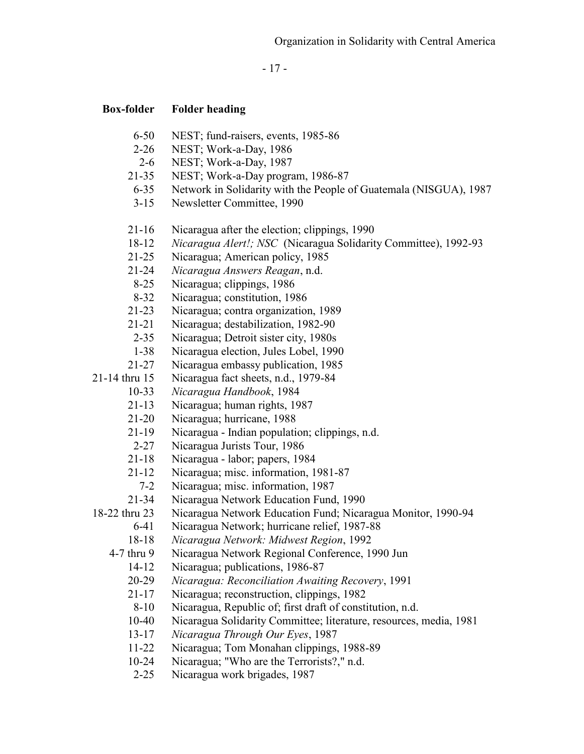- 17 -

- 6-50 NEST; fund-raisers, events, 1985-86
- 2-26 NEST; Work-a-Day, 1986
- 2-6 NEST; Work-a-Day, 1987
- 21-35 NEST; Work-a-Day program, 1986-87
- 6-35 Network in Solidarity with the People of Guatemala (NISGUA), 1987
- 3-15 Newsletter Committee, 1990
- 21-16 Nicaragua after the election; clippings, 1990
- 18-12 *Nicaragua Alert!; NSC* (Nicaragua Solidarity Committee), 1992-93
- 21-25 Nicaragua; American policy, 1985
- 21-24 *Nicaragua Answers Reagan*, n.d.
- 8-25 Nicaragua; clippings, 1986
- 8-32 Nicaragua; constitution, 1986
- 21-23 Nicaragua; contra organization, 1989
- 21-21 Nicaragua; destabilization, 1982-90
- 2-35 Nicaragua; Detroit sister city, 1980s
- 1-38 Nicaragua election, Jules Lobel, 1990
- 21-27 Nicaragua embassy publication, 1985
- 21-14 thru 15 Nicaragua fact sheets, n.d., 1979-84
	- 10-33 *Nicaragua Handbook*, 1984
	- 21-13 Nicaragua; human rights, 1987
	- 21-20 Nicaragua; hurricane, 1988
	- 21-19 Nicaragua Indian population; clippings, n.d.
	- 2-27 Nicaragua Jurists Tour, 1986
	- 21-18 Nicaragua labor; papers, 1984
	- 21-12 Nicaragua; misc. information, 1981-87
	- 7-2 Nicaragua; misc. information, 1987
	- 21-34 Nicaragua Network Education Fund, 1990
- 18-22 thru 23 Nicaragua Network Education Fund; Nicaragua Monitor, 1990-94
	- 6-41 Nicaragua Network; hurricane relief, 1987-88
		- 18-18 *Nicaragua Network: Midwest Region*, 1992
	- 4-7 thru 9 Nicaragua Network Regional Conference, 1990 Jun
		- 14-12 Nicaragua; publications, 1986-87
		- 20-29 *Nicaragua: Reconciliation Awaiting Recovery*, 1991
		- 21-17 Nicaragua; reconstruction, clippings, 1982
		- 8-10 Nicaragua, Republic of; first draft of constitution, n.d.
		- 10-40 Nicaragua Solidarity Committee; literature, resources, media, 1981
		- 13-17 *Nicaragua Through Our Eyes*, 1987
		- 11-22 Nicaragua; Tom Monahan clippings, 1988-89
		- 10-24 Nicaragua; "Who are the Terrorists?," n.d.
		- 2-25 Nicaragua work brigades, 1987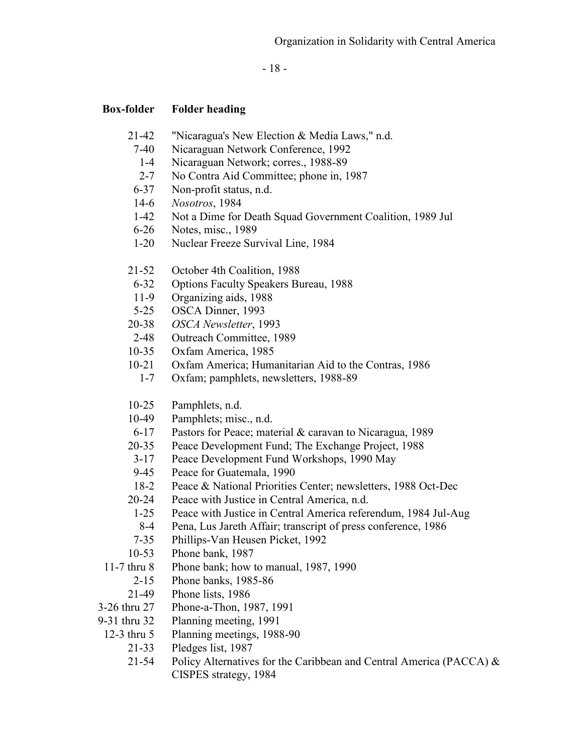- 18 -

- 21-42 "Nicaragua's New Election & Media Laws," n.d.
	- 7-40 Nicaraguan Network Conference, 1992
	- 1-4 Nicaraguan Network; corres., 1988-89
	- 2-7 No Contra Aid Committee; phone in, 1987
	- 6-37 Non-profit status, n.d.
	- 14-6 *Nosotros*, 1984
	- 1-42 Not a Dime for Death Squad Government Coalition, 1989 Jul
	- 6-26 Notes, misc., 1989
	- 1-20 Nuclear Freeze Survival Line, 1984
- 21-52 October 4th Coalition, 1988
- 6-32 Options Faculty Speakers Bureau, 1988
- 11-9 Organizing aids, 1988
- 5-25 OSCA Dinner, 1993
- 20-38 *OSCA Newsletter*, 1993
- 2-48 Outreach Committee, 1989
- 10-35 Oxfam America, 1985
- 10-21 Oxfam America; Humanitarian Aid to the Contras, 1986
	- 1-7 Oxfam; pamphlets, newsletters, 1988-89
- 10-25 Pamphlets, n.d.
- 10-49 Pamphlets; misc., n.d.
- 6-17 Pastors for Peace; material & caravan to Nicaragua, 1989
- 20-35 Peace Development Fund; The Exchange Project, 1988
- 3-17 Peace Development Fund Workshops, 1990 May
- 9-45 Peace for Guatemala, 1990
- 18-2 Peace & National Priorities Center; newsletters, 1988 Oct-Dec
- 20-24 Peace with Justice in Central America, n.d.
	- 1-25 Peace with Justice in Central America referendum, 1984 Jul-Aug
	- 8-4 Pena, Lus Jareth Affair; transcript of press conference, 1986
- 7-35 Phillips-Van Heusen Picket, 1992
- 10-53 Phone bank, 1987
- 11-7 thru 8 Phone bank; how to manual, 1987, 1990
	- 2-15 Phone banks, 1985-86
	- 21-49 Phone lists, 1986
- 3-26 thru 27 Phone-a-Thon, 1987, 1991
- 9-31 thru 32 Planning meeting, 1991
- 12-3 thru 5 Planning meetings, 1988-90
	- 21-33 Pledges list, 1987
	- 21-54 Policy Alternatives for the Caribbean and Central America (PACCA)  $\&$ CISPES strategy, 1984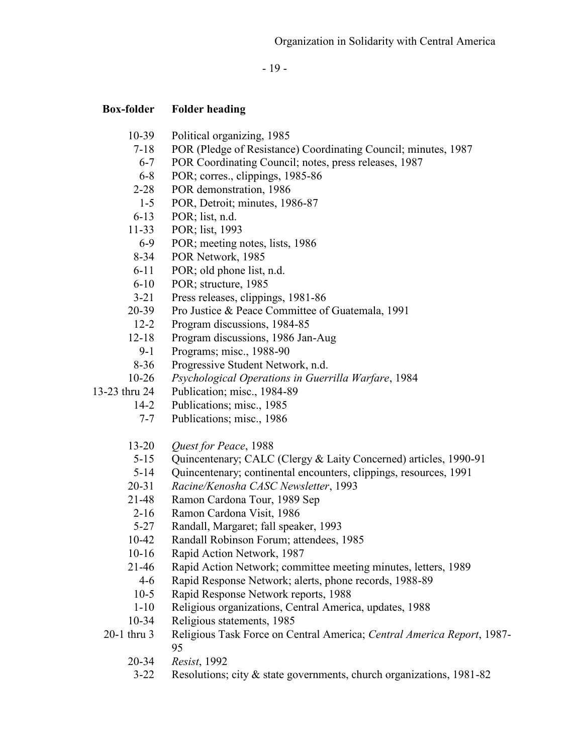- 19 -

- 10-39 Political organizing, 1985
- 7-18 POR (Pledge of Resistance) Coordinating Council; minutes, 1987
- 6-7 POR Coordinating Council; notes, press releases, 1987
- 6-8 POR; corres., clippings, 1985-86
- 2-28 POR demonstration, 1986
- 1-5 POR, Detroit; minutes, 1986-87
- 6-13 POR; list, n.d.
- 11-33 POR; list, 1993
	- 6-9 POR; meeting notes, lists, 1986
- 8-34 POR Network, 1985
- 6-11 POR; old phone list, n.d.
- 6-10 POR; structure, 1985
- 3-21 Press releases, clippings, 1981-86
- 20-39 Pro Justice & Peace Committee of Guatemala, 1991
- 12-2 Program discussions, 1984-85
- 12-18 Program discussions, 1986 Jan-Aug
	- 9-1 Programs; misc., 1988-90
- 8-36 Progressive Student Network, n.d.
- 10-26 *Psychological Operations in Guerrilla Warfare*, 1984
- 13-23 thru 24 Publication; misc., 1984-89
	- 14-2 Publications; misc., 1985
	- 7-7 Publications; misc., 1986
	- 13-20 *Quest for Peace*, 1988
	- 5-15 Quincentenary; CALC (Clergy & Laity Concerned) articles, 1990-91
	- 5-14 Quincentenary; continental encounters, clippings, resources, 1991
	- 20-31 *Racine/Kenosha CASC Newsletter*, 1993
	- 21-48 Ramon Cardona Tour, 1989 Sep
	- 2-16 Ramon Cardona Visit, 1986
	- 5-27 Randall, Margaret; fall speaker, 1993
	- 10-42 Randall Robinson Forum; attendees, 1985
	- 10-16 Rapid Action Network, 1987
	- 21-46 Rapid Action Network; committee meeting minutes, letters, 1989
		- 4-6 Rapid Response Network; alerts, phone records, 1988-89
		- 10-5 Rapid Response Network reports, 1988
		- 1-10 Religious organizations, Central America, updates, 1988
	- 10-34 Religious statements, 1985
	- 20-1 thru 3 Religious Task Force on Central America; *Central America Report*, 1987- 95
		- 20-34 *Resist*, 1992
		- 3-22 Resolutions; city & state governments, church organizations, 1981-82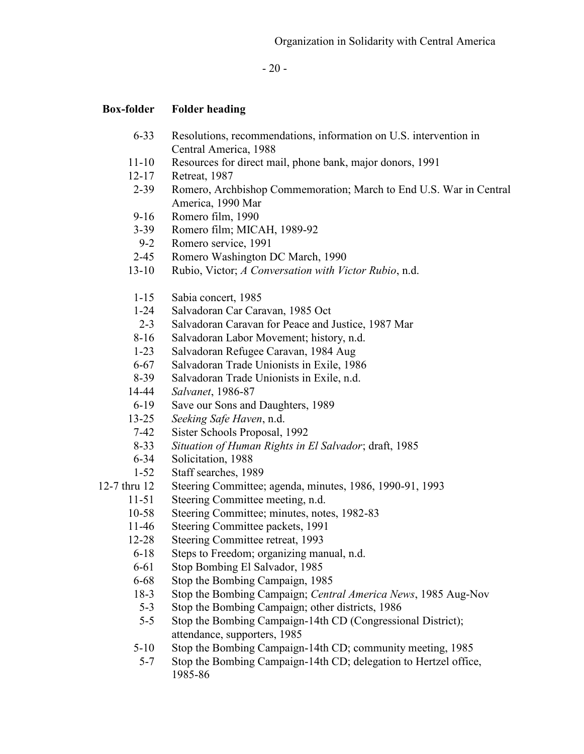- 20 -

- 6-33 Resolutions, recommendations, information on U.S. intervention in Central America, 1988
- 11-10 Resources for direct mail, phone bank, major donors, 1991
- 12-17 Retreat, 1987
- 2-39 Romero, Archbishop Commemoration; March to End U.S. War in Central America, 1990 Mar
- 9-16 Romero film, 1990
- 3-39 Romero film; MICAH, 1989-92
- 9-2 Romero service, 1991
- 2-45 Romero Washington DC March, 1990
- 13-10 Rubio, Victor; *A Conversation with Victor Rubio*, n.d.
- 1-15 Sabia concert, 1985
- 1-24 Salvadoran Car Caravan, 1985 Oct
- 2-3 Salvadoran Caravan for Peace and Justice, 1987 Mar
- 8-16 Salvadoran Labor Movement; history, n.d.
- 1-23 Salvadoran Refugee Caravan, 1984 Aug
- 6-67 Salvadoran Trade Unionists in Exile, 1986
- 8-39 Salvadoran Trade Unionists in Exile, n.d.
- 14-44 *Salvanet*, 1986-87
- 6-19 Save our Sons and Daughters, 1989
- 13-25 *Seeking Safe Haven*, n.d.
- 7-42 Sister Schools Proposal, 1992
- 8-33 *Situation of Human Rights in El Salvador*; draft, 1985
- 6-34 Solicitation, 1988
- 1-52 Staff searches, 1989
- 12-7 thru 12 Steering Committee; agenda, minutes, 1986, 1990-91, 1993
	- 11-51 Steering Committee meeting, n.d.
	- 10-58 Steering Committee; minutes, notes, 1982-83
	- 11-46 Steering Committee packets, 1991
	- 12-28 Steering Committee retreat, 1993
	- 6-18 Steps to Freedom; organizing manual, n.d.
	- 6-61 Stop Bombing El Salvador, 1985
	- 6-68 Stop the Bombing Campaign, 1985
	- 18-3 Stop the Bombing Campaign; *Central America News*, 1985 Aug-Nov
	- 5-3 Stop the Bombing Campaign; other districts, 1986
	- 5-5 Stop the Bombing Campaign-14th CD (Congressional District); attendance, supporters, 1985
	- 5-10 Stop the Bombing Campaign-14th CD; community meeting, 1985
	- 5-7 Stop the Bombing Campaign-14th CD; delegation to Hertzel office, 1985-86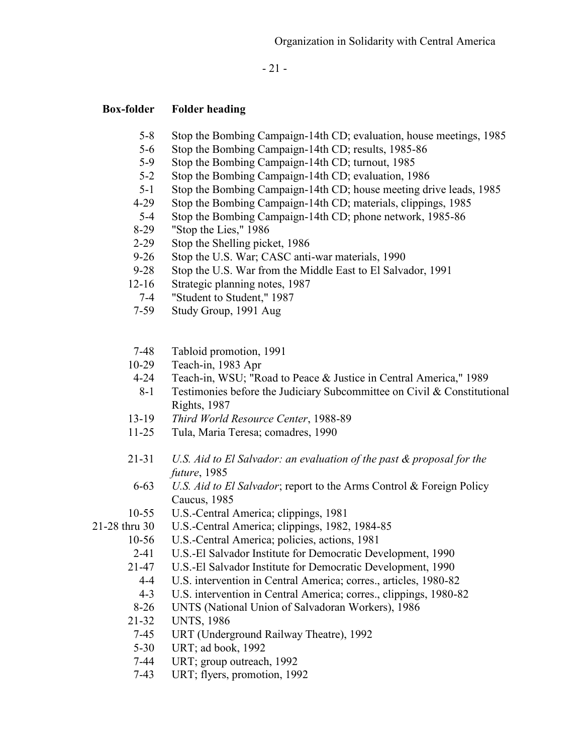- 21 -

- 5-8 Stop the Bombing Campaign-14th CD; evaluation, house meetings, 1985
- 5-6 Stop the Bombing Campaign-14th CD; results, 1985-86
- 5-9 Stop the Bombing Campaign-14th CD; turnout, 1985
- 5-2 Stop the Bombing Campaign-14th CD; evaluation, 1986
- 5-1 Stop the Bombing Campaign-14th CD; house meeting drive leads, 1985
- 4-29 Stop the Bombing Campaign-14th CD; materials, clippings, 1985
- 5-4 Stop the Bombing Campaign-14th CD; phone network, 1985-86
- 8-29 "Stop the Lies," 1986
- 2-29 Stop the Shelling picket, 1986
- 9-26 Stop the U.S. War; CASC anti-war materials, 1990
- 9-28 Stop the U.S. War from the Middle East to El Salvador, 1991
- 12-16 Strategic planning notes, 1987
	- 7-4 "Student to Student," 1987
- 7-59 Study Group, 1991 Aug
- 7-48 Tabloid promotion, 1991
- 10-29 Teach-in, 1983 Apr
- 4-24 Teach-in, WSU; "Road to Peace & Justice in Central America," 1989
- 8-1 Testimonies before the Judiciary Subcommittee on Civil & Constitutional Rights, 1987
- 13-19 *Third World Resource Center*, 1988-89
- 11-25 Tula, Maria Teresa; comadres, 1990
- 21-31 *U.S. Aid to El Salvador: an evaluation of the past & proposal for the future*, 1985
	- 6-63 *U.S. Aid to El Salvador*; report to the Arms Control & Foreign Policy Caucus, 1985
- 10-55 U.S.-Central America; clippings, 1981
- 21-28 thru 30 U.S.-Central America; clippings, 1982, 1984-85
	- 10-56 U.S.-Central America; policies, actions, 1981
	- 2-41 U.S.-El Salvador Institute for Democratic Development, 1990
	- 21-47 U.S.-El Salvador Institute for Democratic Development, 1990
		- 4-4 U.S. intervention in Central America; corres., articles, 1980-82
		- 4-3 U.S. intervention in Central America; corres., clippings, 1980-82
	- 8-26 UNTS (National Union of Salvadoran Workers), 1986
	- 21-32 UNTS, 1986
	- 7-45 URT (Underground Railway Theatre), 1992
	- 5-30 URT; ad book, 1992
	- 7-44 URT; group outreach, 1992
	- 7-43 URT; flyers, promotion, 1992